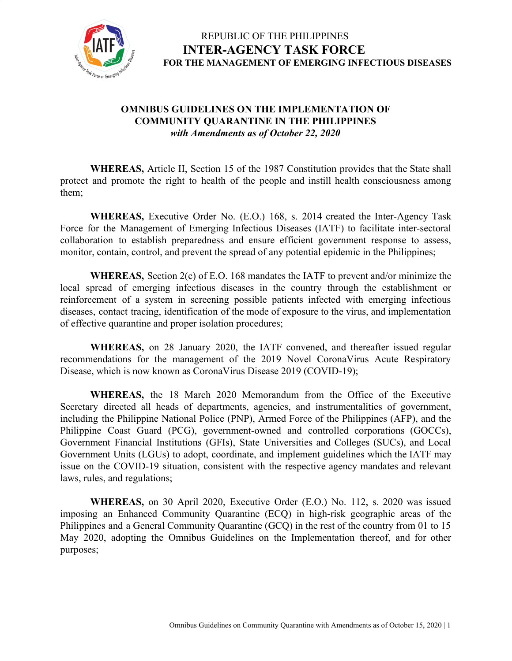

#### **OMNIBUS GUIDELINES ON THE IMPLEMENTATION OF COMMUNITY QUARANTINE IN THE PHILIPPINES** *with Amendments as of October 22, 2020*

**WHEREAS,** Article II, Section 15 of the 1987 Constitution provides that the State shall protect and promote the right to health of the people and instill health consciousness among them;

**WHEREAS,** Executive Order No. (E.O.) 168, s. 2014 created the Inter-Agency Task Force for the Management of Emerging Infectious Diseases (IATF) to facilitate inter-sectoral collaboration to establish preparedness and ensure efficient government response to assess, monitor, contain, control, and prevent the spread of any potential epidemic in the Philippines;

**WHEREAS,** Section 2(c) of E.O. 168 mandates the IATF to prevent and/or minimize the local spread of emerging infectious diseases in the country through the establishment or reinforcement of a system in screening possible patients infected with emerging infectious diseases, contact tracing, identification of the mode of exposure to the virus, and implementation of effective quarantine and proper isolation procedures;

**WHEREAS,** on 28 January 2020, the IATF convened, and thereafter issued regular recommendations for the management of the 2019 Novel CoronaVirus Acute Respiratory Disease, which is now known as CoronaVirus Disease 2019 (COVID-19);

**WHEREAS,** the 18 March 2020 Memorandum from the Office of the Executive Secretary directed all heads of departments, agencies, and instrumentalities of government, including the Philippine National Police (PNP), Armed Force of the Philippines (AFP), and the Philippine Coast Guard (PCG), government-owned and controlled corporations (GOCCs), Government Financial Institutions (GFIs), State Universities and Colleges (SUCs), and Local Government Units (LGUs) to adopt, coordinate, and implement guidelines which the IATF may issue on the COVID-19 situation, consistent with the respective agency mandates and relevant laws, rules, and regulations;

**WHEREAS,** on 30 April 2020, Executive Order (E.O.) No. 112, s. 2020 was issued imposing an Enhanced Community Quarantine (ECQ) in high-risk geographic areas of the Philippines and a General Community Quarantine (GCQ) in the rest of the country from 01 to 15 May 2020, adopting the Omnibus Guidelines on the Implementation thereof, and for other purposes;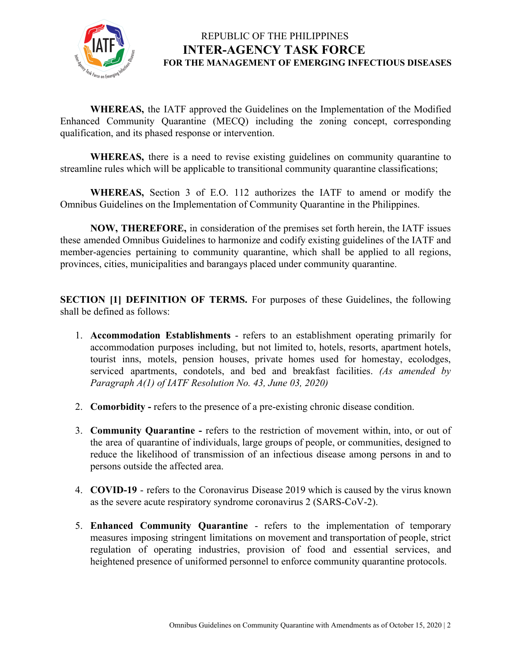

**WHEREAS,** the IATF approved the Guidelines on the Implementation of the Modified Enhanced Community Quarantine (MECQ) including the zoning concept, corresponding qualification, and its phased response or intervention.

**WHEREAS,** there is a need to revise existing guidelines on community quarantine to streamline rules which will be applicable to transitional community quarantine classifications;

**WHEREAS,** Section 3 of E.O. 112 authorizes the IATF to amend or modify the Omnibus Guidelines on the Implementation of Community Quarantine in the Philippines.

**NOW, THEREFORE,** in consideration of the premises set forth herein, the IATF issues these amended Omnibus Guidelines to harmonize and codify existing guidelines of the IATF and member-agencies pertaining to community quarantine, which shall be applied to all regions, provinces, cities, municipalities and barangays placed under community quarantine.

**SECTION [1] DEFINITION OF TERMS.** For purposes of these Guidelines, the following shall be defined as follows:

- 1. **Accommodation Establishments** refers to an establishment operating primarily for accommodation purposes including, but not limited to, hotels, resorts, apartment hotels, tourist inns, motels, pension houses, private homes used for homestay, ecolodges, serviced apartments, condotels, and bed and breakfast facilities. *(As amended by Paragraph A(1) of IATF Resolution No. 43, June 03, 2020)*
- 2. **Comorbidity** refers to the presence of a pre-existing chronic disease condition.
- 3. **Community Quarantine -** refers to the restriction of movement within, into, or out of the area of quarantine of individuals, large groups of people, or communities, designed to reduce the likelihood of transmission of an infectious disease among persons in and to persons outside the affected area.
- 4. **COVID-19** refers to the Coronavirus Disease 2019 which is caused by the virus known as the severe acute respiratory syndrome coronavirus 2 (SARS-CoV-2).
- 5. **Enhanced Community Quarantine** refers to the implementation of temporary measures imposing stringent limitations on movement and transportation of people, strict regulation of operating industries, provision of food and essential services, and heightened presence of uniformed personnel to enforce community quarantine protocols.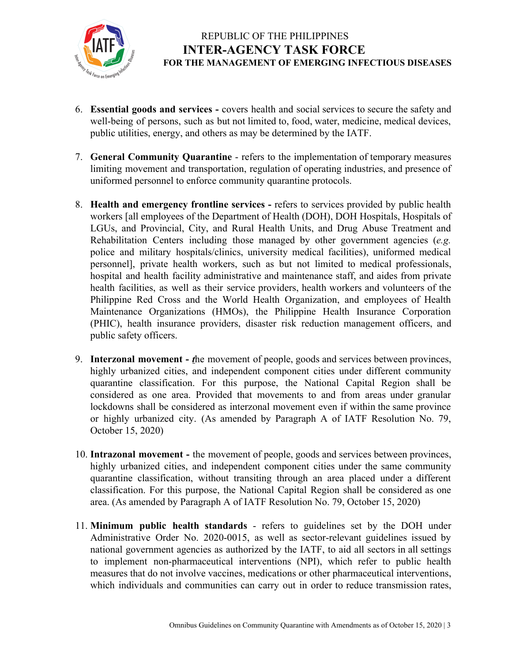

- 6. **Essential goods and services -** covers health and social services to secure the safety and well-being of persons, such as but not limited to, food, water, medicine, medical devices, public utilities, energy, and others as may be determined by the IATF.
- 7. **General Community Quarantine** refers to the implementation of temporary measures limiting movement and transportation, regulation of operating industries, and presence of uniformed personnel to enforce community quarantine protocols.
- 8. **Health and emergency frontline services -** refers to services provided by public health workers [all employees of the Department of Health (DOH), DOH Hospitals, Hospitals of LGUs, and Provincial, City, and Rural Health Units, and Drug Abuse Treatment and Rehabilitation Centers including those managed by other government agencies (*e.g.* police and military hospitals/clinics, university medical facilities), uniformed medical personnel], private health workers, such as but not limited to medical professionals, hospital and health facility administrative and maintenance staff, and aides from private health facilities, as well as their service providers, health workers and volunteers of the Philippine Red Cross and the World Health Organization, and employees of Health Maintenance Organizations (HMOs), the Philippine Health Insurance Corporation (PHIC), health insurance providers, disaster risk reduction management officers, and public safety officers.
- 9. **Interzonal movement -** *t*he movement of people, goods and services between provinces, highly urbanized cities, and independent component cities under different community quarantine classification. For this purpose, the National Capital Region shall be considered as one area. Provided that movements to and from areas under granular lockdowns shall be considered as interzonal movement even if within the same province or highly urbanized city. (As amended by Paragraph A of IATF Resolution No. 79, October 15, 2020)
- 10. **Intrazonal movement -** the movement of people, goods and services between provinces, highly urbanized cities, and independent component cities under the same community quarantine classification, without transiting through an area placed under a different classification. For this purpose, the National Capital Region shall be considered as one area. (As amended by Paragraph A of IATF Resolution No. 79, October 15, 2020)
- 11. **Minimum public health standards** refers to guidelines set by the DOH under Administrative Order No. 2020-0015, as well as sector-relevant guidelines issued by national government agencies as authorized by the IATF, to aid all sectors in all settings to implement non-pharmaceutical interventions (NPI), which refer to public health measures that do not involve vaccines, medications or other pharmaceutical interventions, which individuals and communities can carry out in order to reduce transmission rates,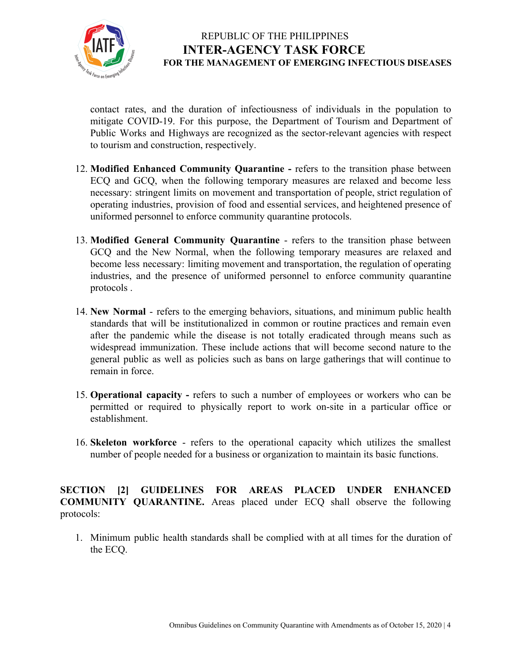

contact rates, and the duration of infectiousness of individuals in the population to mitigate COVID-19. For this purpose, the Department of Tourism and Department of Public Works and Highways are recognized as the sector-relevant agencies with respect to tourism and construction, respectively.

- 12. **Modified Enhanced Community Quarantine -** refers to the transition phase between ECQ and GCQ, when the following temporary measures are relaxed and become less necessary: stringent limits on movement and transportation of people, strict regulation of operating industries, provision of food and essential services, and heightened presence of uniformed personnel to enforce community quarantine protocols.
- 13. **Modified General Community Quarantine** refers to the transition phase between GCQ and the New Normal, when the following temporary measures are relaxed and become less necessary: limiting movement and transportation, the regulation of operating industries, and the presence of uniformed personnel to enforce community quarantine protocols .
- 14. **New Normal** refers to the emerging behaviors, situations, and minimum public health standards that will be institutionalized in common or routine practices and remain even after the pandemic while the disease is not totally eradicated through means such as widespread immunization. These include actions that will become second nature to the general public as well as policies such as bans on large gatherings that will continue to remain in force.
- 15. **Operational capacity -** refers to such a number of employees or workers who can be permitted or required to physically report to work on-site in a particular office or establishment.
- 16. **Skeleton workforce** refers to the operational capacity which utilizes the [smallest](https://dictionary.cambridge.org/us/dictionary/english/small) [number](https://dictionary.cambridge.org/us/dictionary/english/number) of [people](https://dictionary.cambridge.org/us/dictionary/english/people) [needed](https://dictionary.cambridge.org/us/dictionary/english/needed) for a [business](https://dictionary.cambridge.org/us/dictionary/english/business) or [organization](https://dictionary.cambridge.org/us/dictionary/english/organization) to maintain its basic functions.

**SECTION [2] GUIDELINES FOR AREAS PLACED UNDER ENHANCED COMMUNITY QUARANTINE.** Areas placed under ECQ shall observe the following protocols:

1. Minimum public health standards shall be complied with at all times for the duration of the ECQ.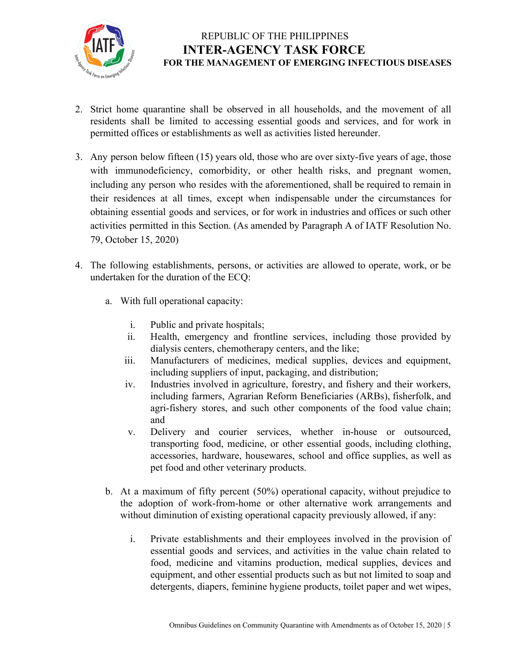

- 2. Strict home quarantine shall be observed in all households, and the movement of all residents shall be limited to accessing essential goods and services, and for work in permitted offices or establishments as well as activities listed hereunder.
- 3. Any person below fifteen (15) years old, those who are over sixty-five years of age, those with immunodeficiency, comorbidity, or other health risks, and pregnant women, including any person who resides with the aforementioned, shall be required to remain in their residences at all times, except when indispensable under the circumstances for obtaining essential goods and services, or for work in industries and offices or such other activities permitted in this Section. (As amended by Paragraph A of IATF Resolution No. 79, October 15, 2020)
- 4. The following establishments, persons, or activities are allowed to operate, work, or be undertaken for the duration of the ECQ:
	- a. With full operational capacity:
		- i. Public and private hospitals;
		- ii. Health, emergency and frontline services, including those provided by dialysis centers, chemotherapy centers, and the like;
		- iii. Manufacturers of medicines, medical supplies, devices and equipment, including suppliers of input, packaging, and distribution;
		- iv. Industries involved in agriculture, forestry, and fishery and their workers, including farmers, Agrarian Reform Beneficiaries (ARBs), fisherfolk, and agri-fishery stores, and such other components of the food value chain; and
		- v. Delivery and courier services, whether in-house or outsourced, transporting food, medicine, or other essential goods, including clothing, accessories, hardware, housewares, school and office supplies, as well as pet food and other veterinary products.
	- b. At a maximum of fifty percent (50%) operational capacity, without prejudice to the adoption of work-from-home or other alternative work arrangements and without diminution of existing operational capacity previously allowed, if any:
		- i. Private establishments and their employees involved in the provision of essential goods and services, and activities in the value chain related to food, medicine and vitamins production, medical supplies, devices and equipment, and other essential products such as but not limited to soap and detergents, diapers, feminine hygiene products, toilet paper and wet wipes,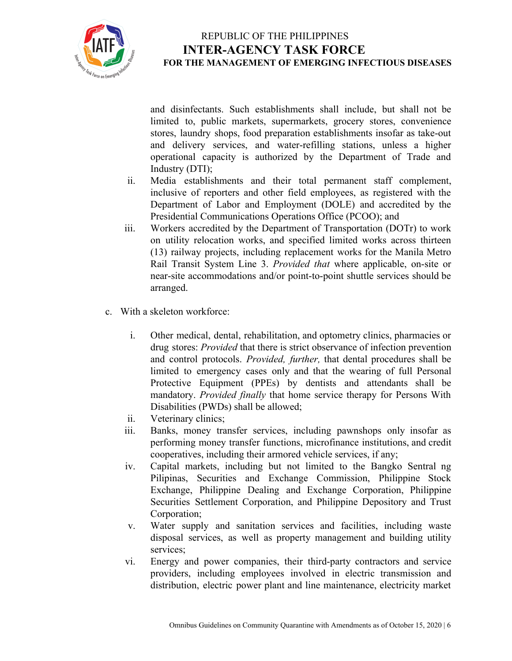

and disinfectants. Such establishments shall include, but shall not be limited to, public markets, supermarkets, grocery stores, convenience stores, laundry shops, food preparation establishments insofar as take-out and delivery services, and water-refilling stations, unless a higher operational capacity is authorized by the Department of Trade and Industry (DTI);

- ii. Media establishments and their total permanent staff complement, inclusive of reporters and other field employees, as registered with the Department of Labor and Employment (DOLE) and accredited by the Presidential Communications Operations Office (PCOO); and
- iii. Workers accredited by the Department of Transportation (DOTr) to work on utility relocation works, and specified limited works across thirteen (13) railway projects, including replacement works for the Manila Metro Rail Transit System Line 3. *Provided that* where applicable, on-site or near-site accommodations and/or point-to-point shuttle services should be arranged.
- c. With a skeleton workforce:
	- i. Other medical, dental, rehabilitation, and optometry clinics, pharmacies or drug stores: *Provided* that there is strict observance of infection prevention and control protocols. *Provided, further,* that dental procedures shall be limited to emergency cases only and that the wearing of full Personal Protective Equipment (PPEs) by dentists and attendants shall be mandatory. *Provided finally* that home service therapy for Persons With Disabilities (PWDs) shall be allowed;
	- ii. Veterinary clinics;
	- iii. Banks, money transfer services, including pawnshops only insofar as performing money transfer functions, microfinance institutions, and credit cooperatives, including their armored vehicle services, if any;
	- iv. Capital markets, including but not limited to the Bangko Sentral ng Pilipinas, Securities and Exchange Commission, Philippine Stock Exchange, Philippine Dealing and Exchange Corporation, Philippine Securities Settlement Corporation, and Philippine Depository and Trust Corporation;
	- v. Water supply and sanitation services and facilities, including waste disposal services, as well as property management and building utility services;
	- vi. Energy and power companies, their third-party contractors and service providers, including employees involved in electric transmission and distribution, electric power plant and line maintenance, electricity market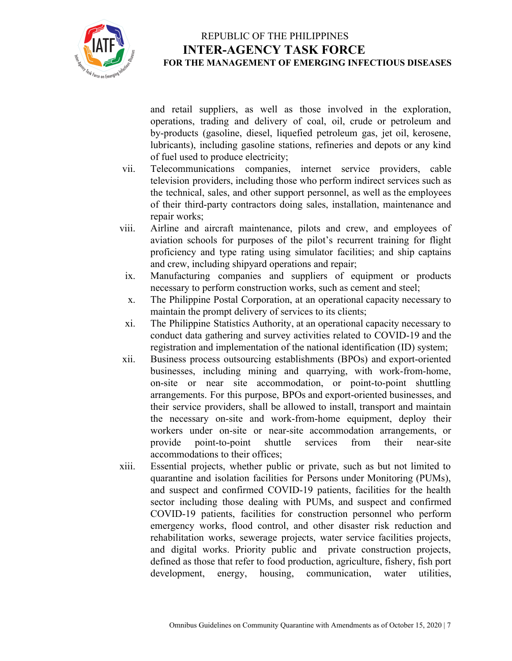

and retail suppliers, as well as those involved in the exploration, operations, trading and delivery of coal, oil, crude or petroleum and by-products (gasoline, diesel, liquefied petroleum gas, jet oil, kerosene, lubricants), including gasoline stations, refineries and depots or any kind of fuel used to produce electricity;

- vii. Telecommunications companies, internet service providers, cable television providers, including those who perform indirect services such as the technical, sales, and other support personnel, as well as the employees of their third-party contractors doing sales, installation, maintenance and repair works;
- viii. Airline and aircraft maintenance, pilots and crew, and employees of aviation schools for purposes of the pilot's recurrent training for flight proficiency and type rating using simulator facilities; and ship captains and crew, including shipyard operations and repair;
- ix. Manufacturing companies and suppliers of equipment or products necessary to perform construction works, such as cement and steel;
- x. The Philippine Postal Corporation, at an operational capacity necessary to maintain the prompt delivery of services to its clients;
- xi. The Philippine Statistics Authority, at an operational capacity necessary to conduct data gathering and survey activities related to COVID-19 and the registration and implementation of the national identification (ID) system;
- xii. Business process outsourcing establishments (BPOs) and export-oriented businesses, including mining and quarrying, with work-from-home, on-site or near site accommodation, or point-to-point shuttling arrangements. For this purpose, BPOs and export-oriented businesses, and their service providers, shall be allowed to install, transport and maintain the necessary on-site and work-from-home equipment, deploy their workers under on-site or near-site accommodation arrangements, or provide point-to-point shuttle services from their near-site accommodations to their offices;
- xiii. Essential projects, whether public or private, such as but not limited to quarantine and isolation facilities for Persons under Monitoring (PUMs), and suspect and confirmed COVID-19 patients, facilities for the health sector including those dealing with PUMs, and suspect and confirmed COVID-19 patients, facilities for construction personnel who perform emergency works, flood control, and other disaster risk reduction and rehabilitation works, sewerage projects, water service facilities projects, and digital works. Priority public and private construction projects, defined as those that refer to food production, agriculture, fishery, fish port development, energy, housing, communication, water utilities,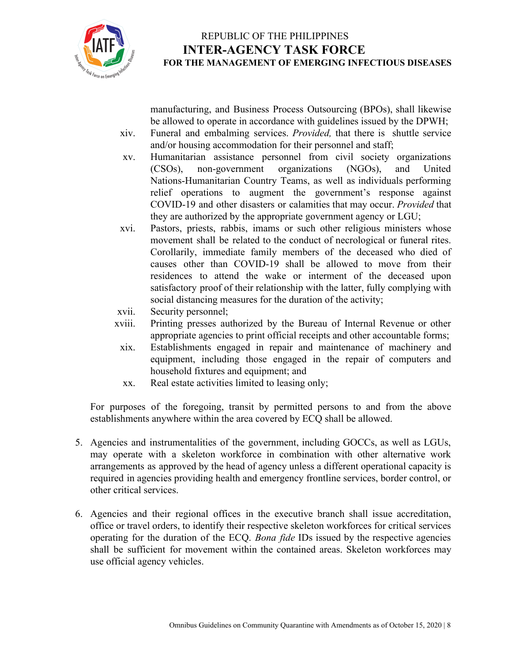

manufacturing, and Business Process Outsourcing (BPOs), shall likewise be allowed to operate in accordance with guidelines issued by the DPWH;

- xiv. Funeral and embalming services. *Provided,* that there is shuttle service and/or housing accommodation for their personnel and staff;
- xv. Humanitarian assistance personnel from civil society organizations (CSOs), non-government organizations (NGOs), and United Nations-Humanitarian Country Teams, as well as individuals performing relief operations to augment the government's response against COVID-19 and other disasters or calamities that may occur. *Provided* that they are authorized by the appropriate government agency or LGU;
- xvi. Pastors, priests, rabbis, imams or such other religious ministers whose movement shall be related to the conduct of necrological or funeral rites. Corollarily, immediate family members of the deceased who died of causes other than COVID-19 shall be allowed to move from their residences to attend the wake or interment of the deceased upon satisfactory proof of their relationship with the latter, fully complying with social distancing measures for the duration of the activity;
- xvii. Security personnel;
- xviii. Printing presses authorized by the Bureau of Internal Revenue or other appropriate agencies to print official receipts and other accountable forms;
- xix. Establishments engaged in repair and maintenance of machinery and equipment, including those engaged in the repair of computers and household fixtures and equipment; and
- xx. Real estate activities limited to leasing only;

For purposes of the foregoing, transit by permitted persons to and from the above establishments anywhere within the area covered by ECQ shall be allowed.

- 5. Agencies and instrumentalities of the government, including GOCCs, as well as LGUs, may operate with a skeleton workforce in combination with other alternative work arrangements as approved by the head of agency unless a different operational capacity is required in agencies providing health and emergency frontline services, border control, or other critical services.
- 6. Agencies and their regional offices in the executive branch shall issue accreditation, office or travel orders, to identify their respective skeleton workforces for critical services operating for the duration of the ECQ. *Bona fide* IDs issued by the respective agencies shall be sufficient for movement within the contained areas. Skeleton workforces may use official agency vehicles.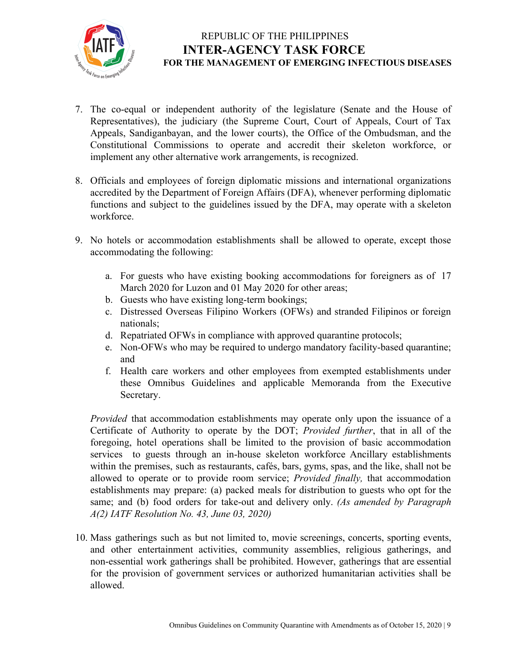

- 7. The co-equal or independent authority of the legislature (Senate and the House of Representatives), the judiciary (the Supreme Court, Court of Appeals, Court of Tax Appeals, Sandiganbayan, and the lower courts), the Office of the Ombudsman, and the Constitutional Commissions to operate and accredit their skeleton workforce, or implement any other alternative work arrangements, is recognized.
- 8. Officials and employees of foreign diplomatic missions and international organizations accredited by the Department of Foreign Affairs (DFA), whenever performing diplomatic functions and subject to the guidelines issued by the DFA, may operate with a skeleton workforce.
- 9. No hotels or accommodation establishments shall be allowed to operate, except those accommodating the following:
	- a. For guests who have existing booking accommodations for foreigners as of 17 March 2020 for Luzon and 01 May 2020 for other areas;
	- b. Guests who have existing long-term bookings;
	- c. Distressed Overseas Filipino Workers (OFWs) and stranded Filipinos or foreign nationals;
	- d. Repatriated OFWs in compliance with approved quarantine protocols;
	- e. Non-OFWs who may be required to undergo mandatory facility-based quarantine; and
	- f. Health care workers and other employees from exempted establishments under these Omnibus Guidelines and applicable Memoranda from the Executive Secretary.

*Provided* that accommodation establishments may operate only upon the issuance of a Certificate of Authority to operate by the DOT; *Provided further*, that in all of the foregoing, hotel operations shall be limited to the provision of basic accommodation services to guests through an in-house skeleton workforce Ancillary establishments within the premises, such as restaurants, cafés, bars, gyms, spas, and the like, shall not be allowed to operate or to provide room service; *Provided finally,* that accommodation establishments may prepare: (a) packed meals for distribution to guests who opt for the same; and (b) food orders for take-out and delivery only. *(As amended by Paragraph A(2) IATF Resolution No. 43, June 03, 2020)*

10. Mass gatherings such as but not limited to, movie screenings, concerts, sporting events, and other entertainment activities, community assemblies, religious gatherings, and non-essential work gatherings shall be prohibited. However, gatherings that are essential for the provision of government services or authorized humanitarian activities shall be allowed.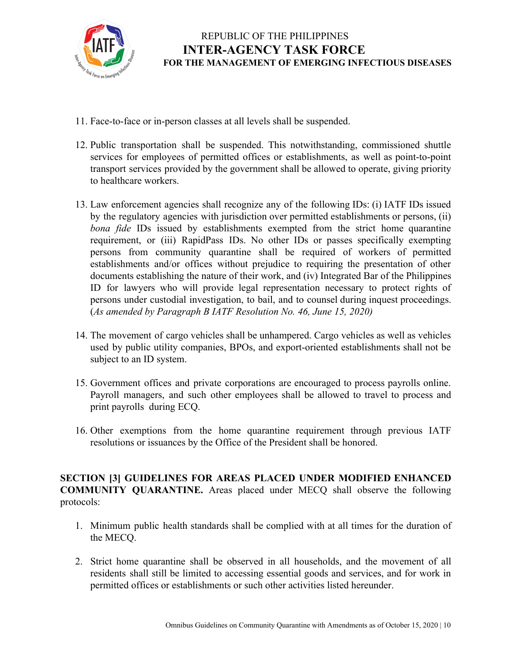

- 11. Face-to-face or in-person classes at all levels shall be suspended.
- 12. Public transportation shall be suspended. This notwithstanding, commissioned shuttle services for employees of permitted offices or establishments, as well as point-to-point transport services provided by the government shall be allowed to operate, giving priority to healthcare workers.
- 13. Law enforcement agencies shall recognize any of the following IDs: (i) IATF IDs issued by the regulatory agencies with jurisdiction over permitted establishments or persons, (ii) *bona fide* IDs issued by establishments exempted from the strict home quarantine requirement, or (iii) RapidPass IDs. No other IDs or passes specifically exempting persons from community quarantine shall be required of workers of permitted establishments and/or offices without prejudice to requiring the presentation of other documents establishing the nature of their work, and (iv) Integrated Bar of the Philippines ID for lawyers who will provide legal representation necessary to protect rights of persons under custodial investigation, to bail, and to counsel during inquest proceedings. (*As amended by Paragraph B IATF Resolution No. 46, June 15, 2020)*
- 14. The movement of cargo vehicles shall be unhampered. Cargo vehicles as well as vehicles used by public utility companies, BPOs, and export-oriented establishments shall not be subject to an ID system.
- 15. Government offices and private corporations are encouraged to process payrolls online. Payroll managers, and such other employees shall be allowed to travel to process and print payrolls during ECQ.
- 16. Other exemptions from the home quarantine requirement through previous IATF resolutions or issuances by the Office of the President shall be honored.

**SECTION [3] GUIDELINES FOR AREAS PLACED UNDER MODIFIED ENHANCED COMMUNITY QUARANTINE.** Areas placed under MECQ shall observe the following protocols:

- 1. Minimum public health standards shall be complied with at all times for the duration of the MECQ.
- 2. Strict home quarantine shall be observed in all households, and the movement of all residents shall still be limited to accessing essential goods and services, and for work in permitted offices or establishments or such other activities listed hereunder.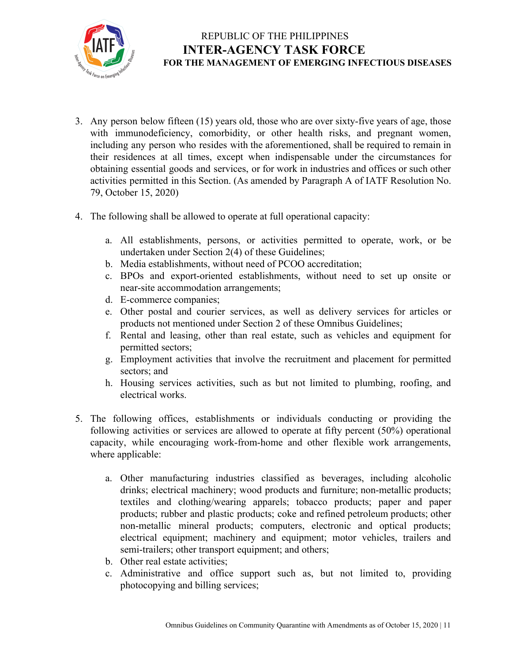

- 3. Any person below fifteen (15) years old, those who are over sixty-five years of age, those with immunodeficiency, comorbidity, or other health risks, and pregnant women, including any person who resides with the aforementioned, shall be required to remain in their residences at all times, except when indispensable under the circumstances for obtaining essential goods and services, or for work in industries and offices or such other activities permitted in this Section. (As amended by Paragraph A of IATF Resolution No. 79, October 15, 2020)
- 4. The following shall be allowed to operate at full operational capacity:
	- a. All establishments, persons, or activities permitted to operate, work, or be undertaken under Section 2(4) of these Guidelines;
	- b. Media establishments, without need of PCOO accreditation;
	- c. BPOs and export-oriented establishments, without need to set up onsite or near-site accommodation arrangements;
	- d. E-commerce companies;
	- e. Other postal and courier services, as well as delivery services for articles or products not mentioned under Section 2 of these Omnibus Guidelines;
	- f. Rental and leasing, other than real estate, such as vehicles and equipment for permitted sectors;
	- g. Employment activities that involve the recruitment and placement for permitted sectors; and
	- h. Housing services activities, such as but not limited to plumbing, roofing, and electrical works.
- 5. The following offices, establishments or individuals conducting or providing the following activities or services are allowed to operate at fifty percent (50%) operational capacity, while encouraging work-from-home and other flexible work arrangements, where applicable:
	- a. Other manufacturing industries classified as beverages, including alcoholic drinks; electrical machinery; wood products and furniture; non-metallic products; textiles and clothing/wearing apparels; tobacco products; paper and paper products; rubber and plastic products; coke and refined petroleum products; other non-metallic mineral products; computers, electronic and optical products; electrical equipment; machinery and equipment; motor vehicles, trailers and semi-trailers; other transport equipment; and others;
	- b. Other real estate activities;
	- c. Administrative and office support such as, but not limited to, providing photocopying and billing services;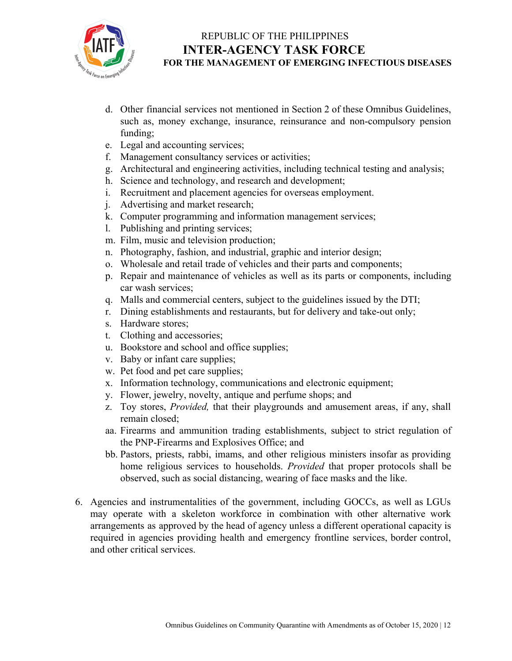

- d. Other financial services not mentioned in Section 2 of these Omnibus Guidelines, such as, money exchange, insurance, reinsurance and non-compulsory pension funding;
- e. Legal and accounting services;
- f. Management consultancy services or activities;
- g. Architectural and engineering activities, including technical testing and analysis;
- h. Science and technology, and research and development;
- i. Recruitment and placement agencies for overseas employment.
- j. Advertising and market research;
- k. Computer programming and information management services;
- l. Publishing and printing services;
- m. Film, music and television production;
- n. Photography, fashion, and industrial, graphic and interior design;
- o. Wholesale and retail trade of vehicles and their parts and components;
- p. Repair and maintenance of vehicles as well as its parts or components, including car wash services;
- q. Malls and commercial centers, subject to the guidelines issued by the DTI;
- r. Dining establishments and restaurants, but for delivery and take-out only;
- s. Hardware stores;
- t. Clothing and accessories;
- u. Bookstore and school and office supplies;
- v. Baby or infant care supplies;
- w. Pet food and pet care supplies;
- x. Information technology, communications and electronic equipment;
- y. Flower, jewelry, novelty, antique and perfume shops; and
- z. Toy stores, *Provided,* that their playgrounds and amusement areas, if any, shall remain closed;
- aa. Firearms and ammunition trading establishments, subject to strict regulation of the PNP-Firearms and Explosives Office; and
- bb. Pastors, priests, rabbi, imams, and other religious ministers insofar as providing home religious services to households. *Provided* that proper protocols shall be observed, such as social distancing, wearing of face masks and the like.
- 6. Agencies and instrumentalities of the government, including GOCCs, as well as LGUs may operate with a skeleton workforce in combination with other alternative work arrangements as approved by the head of agency unless a different operational capacity is required in agencies providing health and emergency frontline services, border control, and other critical services.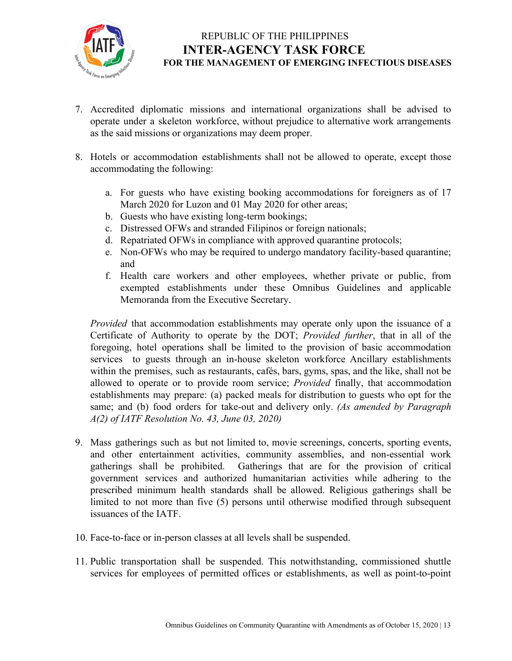

- 7. Accredited diplomatic missions and international organizations shall be advised to operate under a skeleton workforce, without prejudice to alternative work arrangements as the said missions or organizations may deem proper.
- 8. Hotels or accommodation establishments shall not be allowed to operate, except those accommodating the following:
	- a. For guests who have existing booking accommodations for foreigners as of 17 March 2020 for Luzon and 01 May 2020 for other areas;
	- b. Guests who have existing long-term bookings;
	- c. Distressed OFWs and stranded Filipinos or foreign nationals;
	- d. Repatriated OFWs in compliance with approved quarantine protocols;
	- e. Non-OFWs who may be required to undergo mandatory facility-based quarantine; and
	- f. Health care workers and other employees, whether private or public, from exempted establishments under these Omnibus Guidelines and applicable Memoranda from the Executive Secretary.

*Provided* that accommodation establishments may operate only upon the issuance of a Certificate of Authority to operate by the DOT; *Provided further*, that in all of the foregoing, hotel operations shall be limited to the provision of basic accommodation services to guests through an in-house skeleton workforce Ancillary establishments within the premises, such as restaurants, cafés, bars, gyms, spas, and the like, shall not be allowed to operate or to provide room service; *Provided* finally, that accommodation establishments may prepare: (a) packed meals for distribution to guests who opt for the same; and (b) food orders for take-out and delivery only. *(As amended by Paragraph A(2) of IATF Resolution No. 43, June 03, 2020)*

- 9. Mass gatherings such as but not limited to, movie screenings, concerts, sporting events, and other entertainment activities, community assemblies, and non-essential work gatherings shall be prohibited. Gatherings that are for the provision of critical government services and authorized humanitarian activities while adhering to the prescribed minimum health standards shall be allowed. Religious gatherings shall be limited to not more than five (5) persons until otherwise modified through subsequent issuances of the IATF.
- 10. Face-to-face or in-person classes at all levels shall be suspended.
- 11. Public transportation shall be suspended. This notwithstanding, commissioned shuttle services for employees of permitted offices or establishments, as well as point-to-point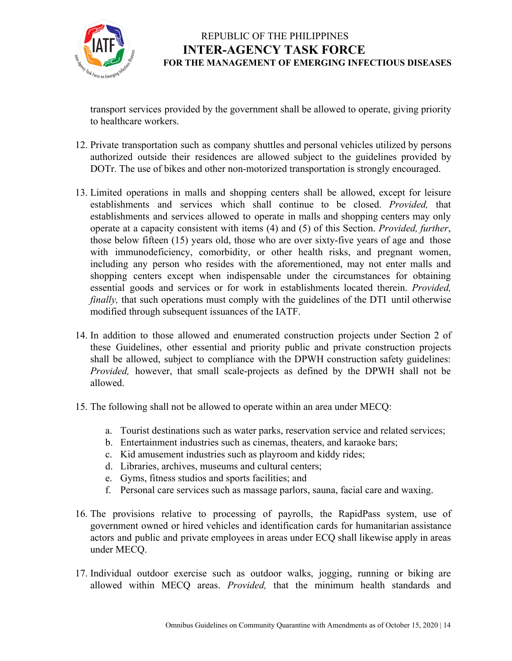

transport services provided by the government shall be allowed to operate, giving priority to healthcare workers.

- 12. Private transportation such as company shuttles and personal vehicles utilized by persons authorized outside their residences are allowed subject to the guidelines provided by DOTr. The use of bikes and other non-motorized transportation is strongly encouraged.
- 13. Limited operations in malls and shopping centers shall be allowed, except for leisure establishments and services which shall continue to be closed. *Provided,* that establishments and services allowed to operate in malls and shopping centers may only operate at a capacity consistent with items (4) and (5) of this Section. *Provided, further*, those below fifteen (15) years old, those who are over sixty-five years of age and those with immunodeficiency, comorbidity, or other health risks, and pregnant women, including any person who resides with the aforementioned, may not enter malls and shopping centers except when indispensable under the circumstances for obtaining essential goods and services or for work in establishments located therein. *Provided, finally*, that such operations must comply with the guidelines of the DTI until otherwise modified through subsequent issuances of the IATF.
- 14. In addition to those allowed and enumerated construction projects under Section 2 of these Guidelines, other essential and priority public and private construction projects shall be allowed, subject to compliance with the DPWH construction safety guidelines: *Provided,* however, that small scale-projects as defined by the DPWH shall not be allowed.
- 15. The following shall not be allowed to operate within an area under MECQ:
	- a. Tourist destinations such as water parks, reservation service and related services;
	- b. Entertainment industries such as cinemas, theaters, and karaoke bars;
	- c. Kid amusement industries such as playroom and kiddy rides;
	- d. Libraries, archives, museums and cultural centers;
	- e. Gyms, fitness studios and sports facilities; and
	- f. Personal care services such as massage parlors, sauna, facial care and waxing.
- 16. The provisions relative to processing of payrolls, the RapidPass system, use of government owned or hired vehicles and identification cards for humanitarian assistance actors and public and private employees in areas under ECQ shall likewise apply in areas under MECQ.
- 17. Individual outdoor exercise such as outdoor walks, jogging, running or biking are allowed within MECQ areas. *Provided,* that the minimum health standards and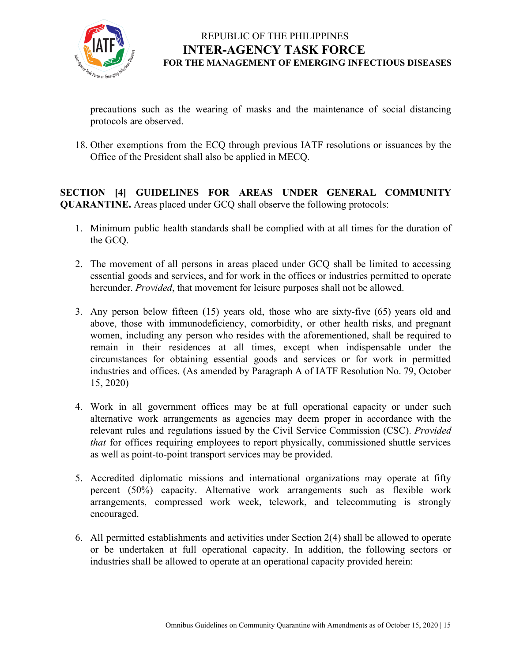

precautions such as the wearing of masks and the maintenance of social distancing protocols are observed.

18. Other exemptions from the ECQ through previous IATF resolutions or issuances by the Office of the President shall also be applied in MECQ.

**SECTION [4] GUIDELINES FOR AREAS UNDER GENERAL COMMUNITY QUARANTINE.** Areas placed under GCQ shall observe the following protocols:

- 1. Minimum public health standards shall be complied with at all times for the duration of the GCQ.
- 2. The movement of all persons in areas placed under GCQ shall be limited to accessing essential goods and services, and for work in the offices or industries permitted to operate hereunder. *Provided*, that movement for leisure purposes shall not be allowed.
- 3. Any person below fifteen (15) years old, those who are sixty-five (65) years old and above, those with immunodeficiency, comorbidity, or other health risks, and pregnant women, including any person who resides with the aforementioned, shall be required to remain in their residences at all times, except when indispensable under the circumstances for obtaining essential goods and services or for work in permitted industries and offices. (As amended by Paragraph A of IATF Resolution No. 79, October 15, 2020)
- 4. Work in all government offices may be at full operational capacity or under such alternative work arrangements as agencies may deem proper in accordance with the relevant rules and regulations issued by the Civil Service Commission (CSC). *Provided that* for offices requiring employees to report physically, commissioned shuttle services as well as point-to-point transport services may be provided.
- 5. Accredited diplomatic missions and international organizations may operate at fifty percent (50%) capacity. Alternative work arrangements such as flexible work arrangements, compressed work week, telework, and telecommuting is strongly encouraged.
- 6. All permitted establishments and activities under Section 2(4) shall be allowed to operate or be undertaken at full operational capacity. In addition, the following sectors or industries shall be allowed to operate at an operational capacity provided herein: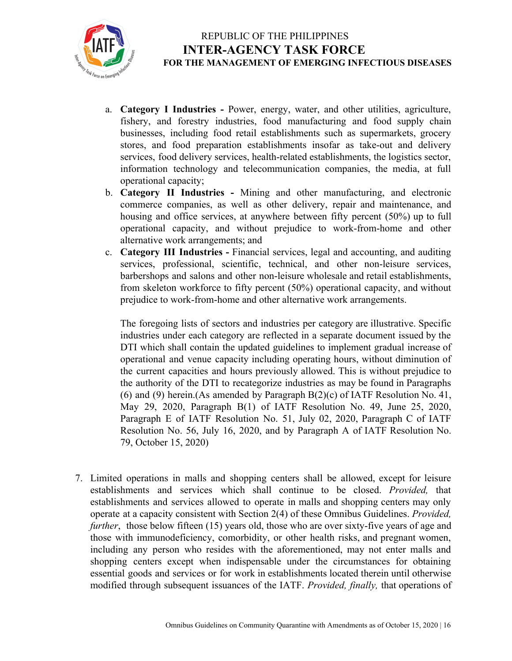

- a. **Category I Industries -** Power, energy, water, and other utilities, agriculture, fishery, and forestry industries, food manufacturing and food supply chain businesses, including food retail establishments such as supermarkets, grocery stores, and food preparation establishments insofar as take-out and delivery services, food delivery services, health-related establishments, the logistics sector, information technology and telecommunication companies, the media, at full operational capacity;
- b. **Category II Industries -** Mining and other manufacturing, and electronic commerce companies, as well as other delivery, repair and maintenance, and housing and office services, at anywhere between fifty percent (50%) up to full operational capacity, and without prejudice to work-from-home and other alternative work arrangements; and
- c. **Category III Industries -** Financial services, legal and accounting, and auditing services, professional, scientific, technical, and other non-leisure services, barbershops and salons and other non-leisure wholesale and retail establishments, from skeleton workforce to fifty percent (50%) operational capacity, and without prejudice to work-from-home and other alternative work arrangements.

The foregoing lists of sectors and industries per category are illustrative. Specific industries under each category are reflected in a separate document issued by the DTI which shall contain the updated guidelines to implement gradual increase of operational and venue capacity including operating hours, without diminution of the current capacities and hours previously allowed. This is without prejudice to the authority of the DTI to recategorize industries as may be found in Paragraphs (6) and (9) herein.(As amended by Paragraph B(2)(c) of IATF Resolution No. 41, May 29, 2020, Paragraph B(1) of IATF Resolution No. 49, June 25, 2020, Paragraph E of IATF Resolution No. 51, July 02, 2020, Paragraph C of IATF Resolution No. 56, July 16, 2020, and by Paragraph A of IATF Resolution No. 79, October 15, 2020)

7. Limited operations in malls and shopping centers shall be allowed, except for leisure establishments and services which shall continue to be closed. *Provided,* that establishments and services allowed to operate in malls and shopping centers may only operate at a capacity consistent with Section 2(4) of these Omnibus Guidelines. *Provided, further*, those below fifteen (15) years old, those who are over sixty-five years of age and those with immunodeficiency, comorbidity, or other health risks, and pregnant women, including any person who resides with the aforementioned, may not enter malls and shopping centers except when indispensable under the circumstances for obtaining essential goods and services or for work in establishments located therein until otherwise modified through subsequent issuances of the IATF. *Provided, finally,* that operations of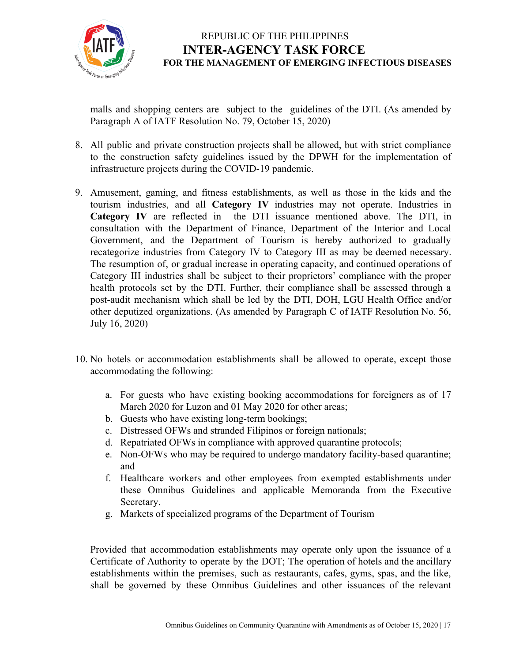

malls and shopping centers are subject to the guidelines of the DTI. (As amended by Paragraph A of IATF Resolution No. 79, October 15, 2020)

- 8. All public and private construction projects shall be allowed, but with strict compliance to the construction safety guidelines issued by the DPWH for the implementation of infrastructure projects during the COVID-19 pandemic.
- 9. Amusement, gaming, and fitness establishments, as well as those in the kids and the tourism industries, and all **Category IV** industries may not operate. Industries in **Category IV** are reflected in the DTI issuance mentioned above. The DTI, in consultation with the Department of Finance, Department of the Interior and Local Government, and the Department of Tourism is hereby authorized to gradually recategorize industries from Category IV to Category III as may be deemed necessary. The resumption of, or gradual increase in operating capacity, and continued operations of Category III industries shall be subject to their proprietors' compliance with the proper health protocols set by the DTI. Further, their compliance shall be assessed through a post-audit mechanism which shall be led by the DTI, DOH, LGU Health Office and/or other deputized organizations. (As amended by Paragraph C of IATF Resolution No. 56, July 16, 2020)
- 10. No hotels or accommodation establishments shall be allowed to operate, except those accommodating the following:
	- a. For guests who have existing booking accommodations for foreigners as of 17 March 2020 for Luzon and 01 May 2020 for other areas;
	- b. Guests who have existing long-term bookings;
	- c. Distressed OFWs and stranded Filipinos or foreign nationals;
	- d. Repatriated OFWs in compliance with approved quarantine protocols;
	- e. Non-OFWs who may be required to undergo mandatory facility-based quarantine; and
	- f. Healthcare workers and other employees from exempted establishments under these Omnibus Guidelines and applicable Memoranda from the Executive Secretary.
	- g. Markets of specialized programs of the Department of Tourism

Provided that accommodation establishments may operate only upon the issuance of a Certificate of Authority to operate by the DOT; The operation of hotels and the ancillary establishments within the premises, such as restaurants, cafes, gyms, spas, and the like, shall be governed by these Omnibus Guidelines and other issuances of the relevant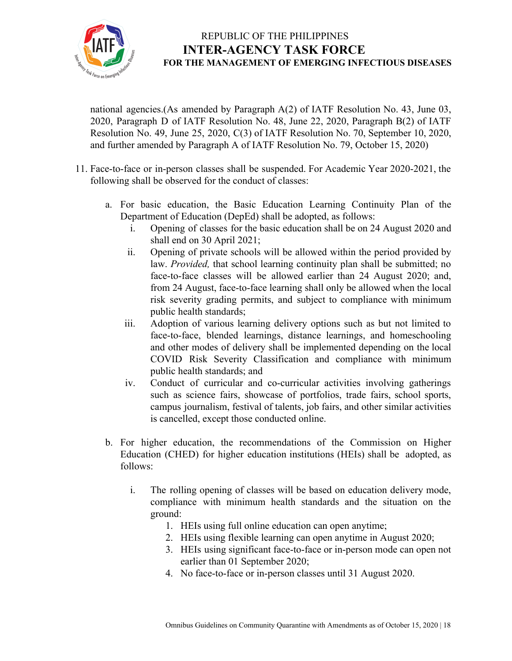

national agencies.(As amended by Paragraph A(2) of IATF Resolution No. 43, June 03, 2020, Paragraph D of IATF Resolution No. 48, June 22, 2020, Paragraph B(2) of IATF Resolution No. 49, June 25, 2020, C(3) of IATF Resolution No. 70, September 10, 2020, and further amended by Paragraph A of IATF Resolution No. 79, October 15, 2020)

- 11. Face-to-face or in-person classes shall be suspended. For Academic Year 2020-2021, the following shall be observed for the conduct of classes:
	- a. For basic education, the Basic Education Learning Continuity Plan of the Department of Education (DepEd) shall be adopted, as follows:
		- i. Opening of classes for the basic education shall be on 24 August 2020 and shall end on 30 April 2021;
		- ii. Opening of private schools will be allowed within the period provided by law. *Provided,* that school learning continuity plan shall be submitted; no face-to-face classes will be allowed earlier than 24 August 2020; and, from 24 August, face-to-face learning shall only be allowed when the local risk severity grading permits, and subject to compliance with minimum public health standards;
		- iii. Adoption of various learning delivery options such as but not limited to face-to-face, blended learnings, distance learnings, and homeschooling and other modes of delivery shall be implemented depending on the local COVID Risk Severity Classification and compliance with minimum public health standards; and
		- iv. Conduct of curricular and co-curricular activities involving gatherings such as science fairs, showcase of portfolios, trade fairs, school sports, campus journalism, festival of talents, job fairs, and other similar activities is cancelled, except those conducted online.
	- b. For higher education, the recommendations of the Commission on Higher Education (CHED) for higher education institutions (HEIs) shall be adopted, as follows:
		- i. The rolling opening of classes will be based on education delivery mode, compliance with minimum health standards and the situation on the ground:
			- 1. HEIs using full online education can open anytime;
			- 2. HEIs using flexible learning can open anytime in August 2020;
			- 3. HEIs using significant face-to-face or in-person mode can open not earlier than 01 September 2020;
			- 4. No face-to-face or in-person classes until 31 August 2020.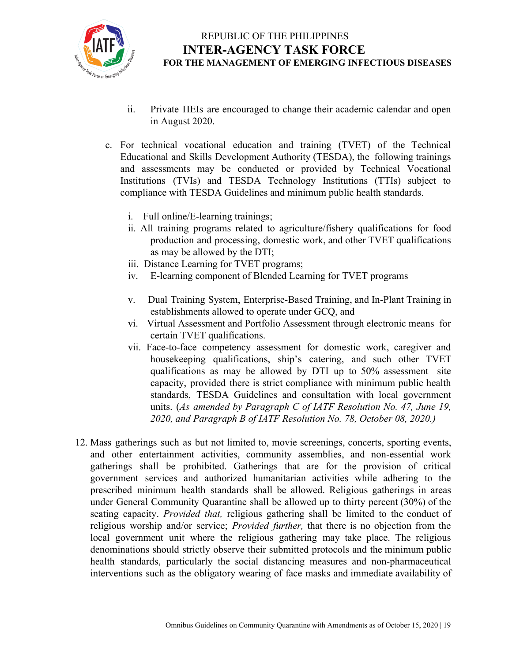

- ii. Private HEIs are encouraged to change their academic calendar and open in August 2020.
- c. For technical vocational education and training (TVET) of the Technical Educational and Skills Development Authority (TESDA), the following trainings and assessments may be conducted or provided by Technical Vocational Institutions (TVIs) and TESDA Technology Institutions (TTIs) subject to compliance with TESDA Guidelines and minimum public health standards.
	- i. Full online/E-learning trainings;
	- ii. All training programs related to agriculture/fishery qualifications for food production and processing, domestic work, and other TVET qualifications as may be allowed by the DTI;
	- iii. Distance Learning for TVET programs;
	- iv. E-learning component of Blended Learning for TVET programs
	- v. Dual Training System, Enterprise-Based Training, and In-Plant Training in establishments allowed to operate under GCQ, and
	- vi. Virtual Assessment and Portfolio Assessment through electronic means for certain TVET qualifications.
	- vii. Face-to-face competency assessment for domestic work, caregiver and housekeeping qualifications, ship's catering, and such other TVET qualifications as may be allowed by DTI up to 50% assessment site capacity, provided there is strict compliance with minimum public health standards, TESDA Guidelines and consultation with local government units. (*As amended by Paragraph C of IATF Resolution No. 47, June 19, 2020, and Paragraph B of IATF Resolution No. 78, October 08, 2020.)*
- 12. Mass gatherings such as but not limited to, movie screenings, concerts, sporting events, and other entertainment activities, community assemblies, and non-essential work gatherings shall be prohibited. Gatherings that are for the provision of critical government services and authorized humanitarian activities while adhering to the prescribed minimum health standards shall be allowed. Religious gatherings in areas under General Community Quarantine shall be allowed up to thirty percent (30%) of the seating capacity. *Provided that,* religious gathering shall be limited to the conduct of religious worship and/or service; *Provided further,* that there is no objection from the local government unit where the religious gathering may take place. The religious denominations should strictly observe their submitted protocols and the minimum public health standards, particularly the social distancing measures and non-pharmaceutical interventions such as the obligatory wearing of face masks and immediate availability of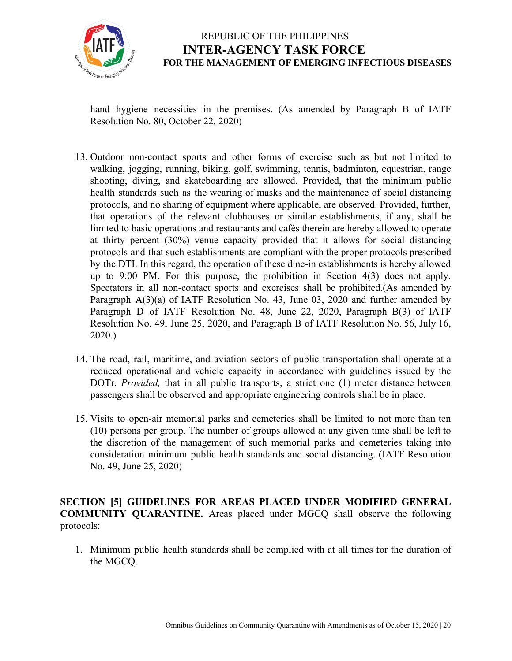

hand hygiene necessities in the premises. (As amended by Paragraph B of IATF Resolution No. 80, October 22, 2020)

- 13. Outdoor non-contact sports and other forms of exercise such as but not limited to walking, jogging, running, biking, golf, swimming, tennis, badminton, equestrian, range shooting, diving, and skateboarding are allowed. Provided, that the minimum public health standards such as the wearing of masks and the maintenance of social distancing protocols, and no sharing of equipment where applicable, are observed. Provided, further, that operations of the relevant clubhouses or similar establishments, if any, shall be limited to basic operations and restaurants and cafés therein are hereby allowed to operate at thirty percent (30%) venue capacity provided that it allows for social distancing protocols and that such establishments are compliant with the proper protocols prescribed by the DTI. In this regard, the operation of these dine-in establishments is hereby allowed up to 9:00 PM. For this purpose, the prohibition in Section 4(3) does not apply. Spectators in all non-contact sports and exercises shall be prohibited.(As amended by Paragraph A(3)(a) of IATF Resolution No. 43, June 03, 2020 and further amended by Paragraph D of IATF Resolution No. 48, June 22, 2020, Paragraph B(3) of IATF Resolution No. 49, June 25, 2020, and Paragraph B of IATF Resolution No. 56, July 16, 2020.)
- 14. The road, rail, maritime, and aviation sectors of public transportation shall operate at a reduced operational and vehicle capacity in accordance with guidelines issued by the DOTr. *Provided,* that in all public transports, a strict one (1) meter distance between passengers shall be observed and appropriate engineering controls shall be in place.
- 15. Visits to open-air memorial parks and cemeteries shall be limited to not more than ten (10) persons per group. The number of groups allowed at any given time shall be left to the discretion of the management of such memorial parks and cemeteries taking into consideration minimum public health standards and social distancing. (IATF Resolution No. 49, June 25, 2020)

**SECTION [5] GUIDELINES FOR AREAS PLACED UNDER MODIFIED GENERAL COMMUNITY QUARANTINE.** Areas placed under MGCQ shall observe the following protocols:

1. Minimum public health standards shall be complied with at all times for the duration of the MGCQ.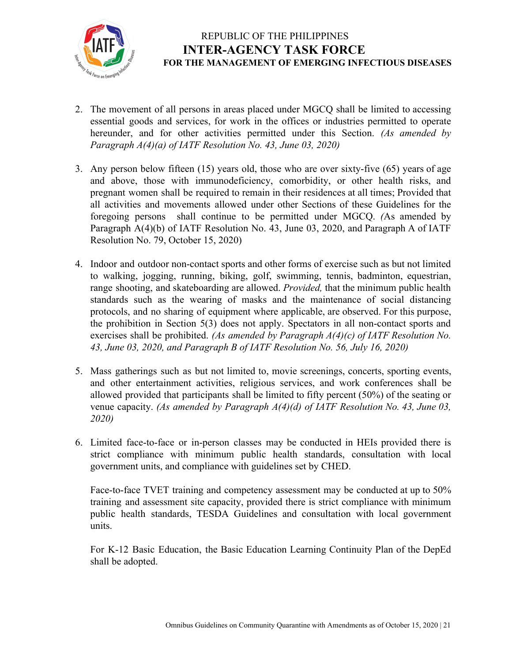

- 2. The movement of all persons in areas placed under MGCQ shall be limited to accessing essential goods and services, for work in the offices or industries permitted to operate hereunder, and for other activities permitted under this Section. *(As amended by Paragraph A(4)(a) of IATF Resolution No. 43, June 03, 2020)*
- 3. Any person below fifteen (15) years old, those who are over sixty-five (65) years of age and above, those with immunodeficiency, comorbidity, or other health risks, and pregnant women shall be required to remain in their residences at all times; Provided that all activities and movements allowed under other Sections of these Guidelines for the foregoing persons shall continue to be permitted under MGCQ. *(*As amended by Paragraph A(4)(b) of IATF Resolution No. 43, June 03, 2020, and Paragraph A of IATF Resolution No. 79, October 15, 2020)
- 4. Indoor and outdoor non-contact sports and other forms of exercise such as but not limited to walking, jogging, running, biking, golf, swimming, tennis, badminton, equestrian, range shooting, and skateboarding are allowed. *Provided,* that the minimum public health standards such as the wearing of masks and the maintenance of social distancing protocols, and no sharing of equipment where applicable, are observed. For this purpose, the prohibition in Section 5(3) does not apply. Spectators in all non-contact sports and exercises shall be prohibited. *(As amended by Paragraph A(4)(c) of IATF Resolution No. 43, June 03, 2020, and Paragraph B of IATF Resolution No. 56, July 16, 2020)*
- 5. Mass gatherings such as but not limited to, movie screenings, concerts, sporting events, and other entertainment activities, religious services, and work conferences shall be allowed provided that participants shall be limited to fifty percent (50%) of the seating or venue capacity. *(As amended by Paragraph A(4)(d) of IATF Resolution No. 43, June 03, 2020)*
- 6. Limited face-to-face or in-person classes may be conducted in HEIs provided there is strict compliance with minimum public health standards, consultation with local government units, and compliance with guidelines set by CHED.

Face-to-face TVET training and competency assessment may be conducted at up to 50% training and assessment site capacity, provided there is strict compliance with minimum public health standards, TESDA Guidelines and consultation with local government units.

For K-12 Basic Education, the Basic Education Learning Continuity Plan of the DepEd shall be adopted.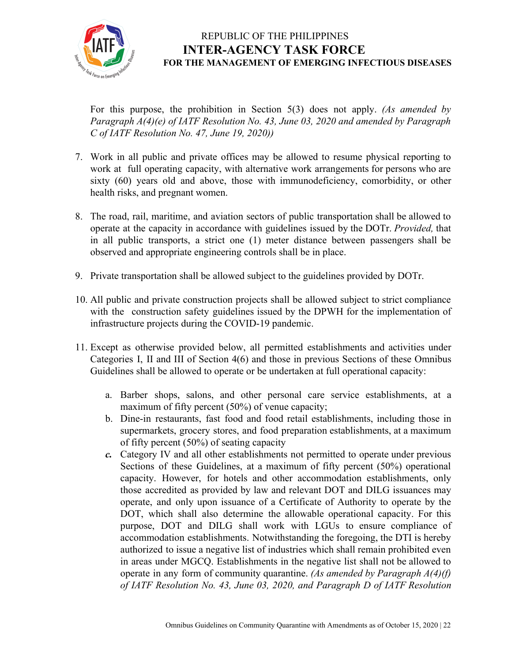

For this purpose, the prohibition in Section 5(3) does not apply. *(As amended by Paragraph A(4)(e) of IATF Resolution No. 43, June 03, 2020 and amended by Paragraph C of IATF Resolution No. 47, June 19, 2020))*

- 7. Work in all public and private offices may be allowed to resume physical reporting to work at full operating capacity, with alternative work arrangements for persons who are sixty (60) years old and above, those with immunodeficiency, comorbidity, or other health risks, and pregnant women.
- 8. The road, rail, maritime, and aviation sectors of public transportation shall be allowed to operate at the capacity in accordance with guidelines issued by the DOTr. *Provided,* that in all public transports, a strict one (1) meter distance between passengers shall be observed and appropriate engineering controls shall be in place.
- 9. Private transportation shall be allowed subject to the guidelines provided by DOTr.
- 10. All public and private construction projects shall be allowed subject to strict compliance with the construction safety guidelines issued by the DPWH for the implementation of infrastructure projects during the COVID-19 pandemic.
- 11. Except as otherwise provided below, all permitted establishments and activities under Categories I, II and III of Section 4(6) and those in previous Sections of these Omnibus Guidelines shall be allowed to operate or be undertaken at full operational capacity:
	- a. Barber shops, salons, and other personal care service establishments, at a maximum of fifty percent (50%) of venue capacity;
	- b. Dine-in restaurants, fast food and food retail establishments, including those in supermarkets, grocery stores, and food preparation establishments, at a maximum of fifty percent (50%) of seating capacity
	- *c.* Category IV and all other establishments not permitted to operate under previous Sections of these Guidelines, at a maximum of fifty percent (50%) operational capacity. However, for hotels and other accommodation establishments, only those accredited as provided by law and relevant DOT and DILG issuances may operate, and only upon issuance of a Certificate of Authority to operate by the DOT, which shall also determine the allowable operational capacity. For this purpose, DOT and DILG shall work with LGUs to ensure compliance of accommodation establishments. Notwithstanding the foregoing, the DTI is hereby authorized to issue a negative list of industries which shall remain prohibited even in areas under MGCQ. Establishments in the negative list shall not be allowed to operate in any form of community quarantine. *(As amended by Paragraph A(4)(f) of IATF Resolution No. 43, June 03, 2020, and Paragraph D of IATF Resolution*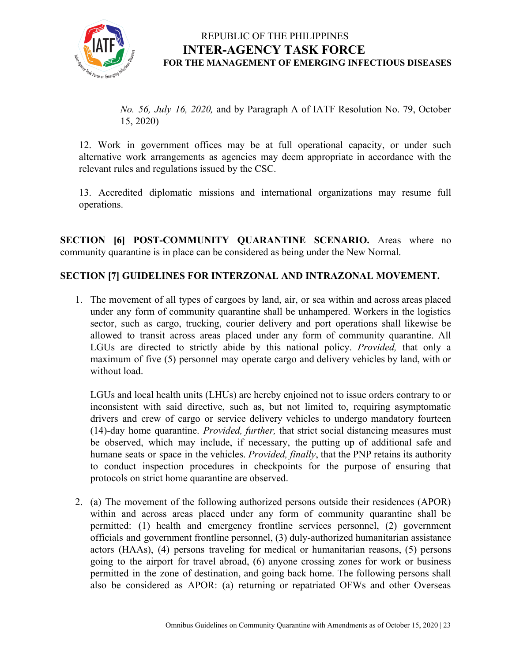

*No. 56, July 16, 2020,* and by Paragraph A of IATF Resolution No. 79, October 15, 2020)

12. Work in government offices may be at full operational capacity, or under such alternative work arrangements as agencies may deem appropriate in accordance with the relevant rules and regulations issued by the CSC.

13. Accredited diplomatic missions and international organizations may resume full operations.

**SECTION [6] POST-COMMUNITY QUARANTINE SCENARIO.** Areas where no community quarantine is in place can be considered as being under the New Normal.

#### **SECTION [7] GUIDELINES FOR INTERZONAL AND INTRAZONAL MOVEMENT.**

1. The movement of all types of cargoes by land, air, or sea within and across areas placed under any form of community quarantine shall be unhampered. Workers in the logistics sector, such as cargo, trucking, courier delivery and port operations shall likewise be allowed to transit across areas placed under any form of community quarantine. All LGUs are directed to strictly abide by this national policy. *Provided,* that only a maximum of five (5) personnel may operate cargo and delivery vehicles by land, with or without load.

LGUs and local health units (LHUs) are hereby enjoined not to issue orders contrary to or inconsistent with said directive, such as, but not limited to, requiring asymptomatic drivers and crew of cargo or service delivery vehicles to undergo mandatory fourteen (14)-day home quarantine. *Provided, further,* that strict social distancing measures must be observed, which may include, if necessary, the putting up of additional safe and humane seats or space in the vehicles. *Provided, finally*, that the PNP retains its authority to conduct inspection procedures in checkpoints for the purpose of ensuring that protocols on strict home quarantine are observed.

2. (a) The movement of the following authorized persons outside their residences (APOR) within and across areas placed under any form of community quarantine shall be permitted: (1) health and emergency frontline services personnel, (2) government officials and government frontline personnel, (3) duly-authorized humanitarian assistance actors (HAAs), (4) persons traveling for medical or humanitarian reasons, (5) persons going to the airport for travel abroad, (6) anyone crossing zones for work or business permitted in the zone of destination, and going back home. The following persons shall also be considered as APOR: (a) returning or repatriated OFWs and other Overseas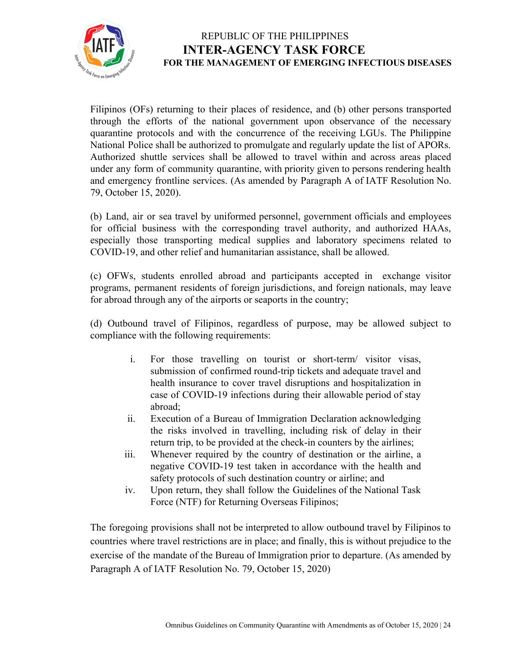

Filipinos (OFs) returning to their places of residence, and (b) other persons transported through the efforts of the national government upon observance of the necessary quarantine protocols and with the concurrence of the receiving LGUs. The Philippine National Police shall be authorized to promulgate and regularly update the list of APORs. Authorized shuttle services shall be allowed to travel within and across areas placed under any form of community quarantine, with priority given to persons rendering health and emergency frontline services. (As amended by Paragraph A of IATF Resolution No. 79, October 15, 2020).

(b) Land, air or sea travel by uniformed personnel, government officials and employees for official business with the corresponding travel authority, and authorized HAAs, especially those transporting medical supplies and laboratory specimens related to COVID-19, and other relief and humanitarian assistance, shall be allowed.

(c) OFWs, students enrolled abroad and participants accepted in exchange visitor programs, permanent residents of foreign jurisdictions, and foreign nationals, may leave for abroad through any of the airports or seaports in the country;

(d) Outbound travel of Filipinos, regardless of purpose, may be allowed subject to compliance with the following requirements:

- i. For those travelling on tourist or short-term/ visitor visas, submission of confirmed round-trip tickets and adequate travel and health insurance to cover travel disruptions and hospitalization in case of COVID-19 infections during their allowable period of stay abroad;
- ii. Execution of a Bureau of Immigration Declaration acknowledging the risks involved in travelling, including risk of delay in their return trip, to be provided at the check-in counters by the airlines;
- iii. Whenever required by the country of destination or the airline, a negative COVID-19 test taken in accordance with the health and safety protocols of such destination country or airline; and
- iv. Upon return, they shall follow the Guidelines of the National Task Force (NTF) for Returning Overseas Filipinos;

The foregoing provisions shall not be interpreted to allow outbound travel by Filipinos to countries where travel restrictions are in place; and finally, this is without prejudice to the exercise of the mandate of the Bureau of Immigration prior to departure. (As amended by Paragraph A of IATF Resolution No. 79, October 15, 2020)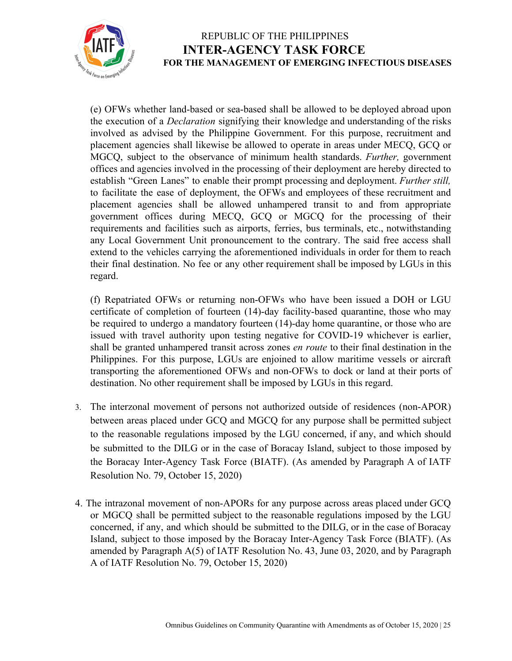

(e) OFWs whether land-based or sea-based shall be allowed to be deployed abroad upon the execution of a *Declaration* signifying their knowledge and understanding of the risks involved as advised by the Philippine Government. For this purpose, recruitment and placement agencies shall likewise be allowed to operate in areas under MECQ, GCQ or MGCQ, subject to the observance of minimum health standards. *Further,* government offices and agencies involved in the processing of their deployment are hereby directed to establish "Green Lanes" to enable their prompt processing and deployment. *Further still,* to facilitate the ease of deployment, the OFWs and employees of these recruitment and placement agencies shall be allowed unhampered transit to and from appropriate government offices during MECQ, GCQ or MGCQ for the processing of their requirements and facilities such as airports, ferries, bus terminals, etc., notwithstanding any Local Government Unit pronouncement to the contrary. The said free access shall extend to the vehicles carrying the aforementioned individuals in order for them to reach their final destination. No fee or any other requirement shall be imposed by LGUs in this regard.

(f) Repatriated OFWs or returning non-OFWs who have been issued a DOH or LGU certificate of completion of fourteen (14)-day facility-based quarantine, those who may be required to undergo a mandatory fourteen (14)-day home quarantine, or those who are issued with travel authority upon testing negative for COVID-19 whichever is earlier, shall be granted unhampered transit across zones *en route* to their final destination in the Philippines. For this purpose, LGUs are enjoined to allow maritime vessels or aircraft transporting the aforementioned OFWs and non-OFWs to dock or land at their ports of destination. No other requirement shall be imposed by LGUs in this regard.

- 3. The interzonal movement of persons not authorized outside of residences (non-APOR) between areas placed under GCQ and MGCQ for any purpose shall be permitted subject to the reasonable regulations imposed by the LGU concerned, if any, and which should be submitted to the DILG or in the case of Boracay Island, subject to those imposed by the Boracay Inter-Agency Task Force (BIATF). (As amended by Paragraph A of IATF Resolution No. 79, October 15, 2020)
- 4. The intrazonal movement of non-APORs for any purpose across areas placed under GCQ or MGCQ shall be permitted subject to the reasonable regulations imposed by the LGU concerned, if any, and which should be submitted to the DILG, or in the case of Boracay Island, subject to those imposed by the Boracay Inter-Agency Task Force (BIATF). (As amended by Paragraph A(5) of IATF Resolution No. 43, June 03, 2020, and by Paragraph A of IATF Resolution No. 79, October 15, 2020)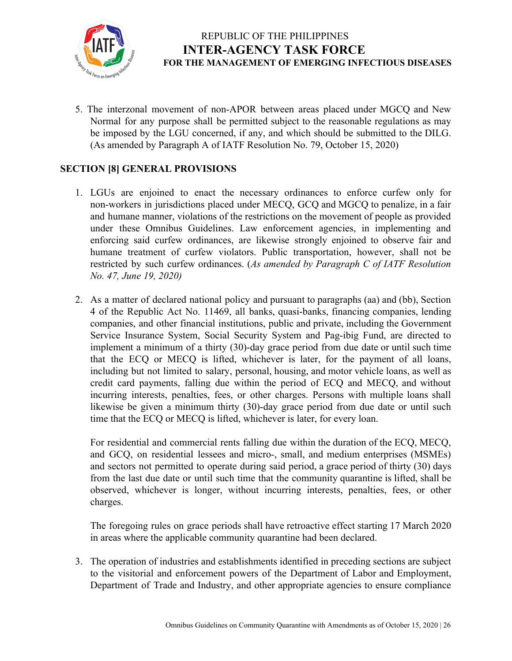

5. The interzonal movement of non-APOR between areas placed under MGCQ and New Normal for any purpose shall be permitted subject to the reasonable regulations as may be imposed by the LGU concerned, if any, and which should be submitted to the DILG. (As amended by Paragraph A of IATF Resolution No. 79, October 15, 2020)

#### **SECTION [8] GENERAL PROVISIONS**

- 1. LGUs are enjoined to enact the necessary ordinances to enforce curfew only for non-workers in jurisdictions placed under MECQ, GCQ and MGCQ to penalize, in a fair and humane manner, violations of the restrictions on the movement of people as provided under these Omnibus Guidelines. Law enforcement agencies, in implementing and enforcing said curfew ordinances, are likewise strongly enjoined to observe fair and humane treatment of curfew violators. Public transportation, however, shall not be restricted by such curfew ordinances. (*As amended by Paragraph C of IATF Resolution No. 47, June 19, 2020)*
- 2. As a matter of declared national policy and pursuant to paragraphs (aa) and (bb), Section 4 of the Republic Act No. 11469, all banks, quasi-banks, financing companies, lending companies, and other financial institutions, public and private, including the Government Service Insurance System, Social Security System and Pag-ibig Fund, are directed to implement a minimum of a thirty (30)-day grace period from due date or until such time that the ECQ or MECQ is lifted, whichever is later, for the payment of all loans, including but not limited to salary, personal, housing, and motor vehicle loans, as well as credit card payments, falling due within the period of ECQ and MECQ, and without incurring interests, penalties, fees, or other charges. Persons with multiple loans shall likewise be given a minimum thirty (30)-day grace period from due date or until such time that the ECQ or MECQ is lifted, whichever is later, for every loan.

For residential and commercial rents falling due within the duration of the ECQ, MECQ, and GCQ, on residential lessees and micro-, small, and medium enterprises (MSMEs) and sectors not permitted to operate during said period, a grace period of thirty (30) days from the last due date or until such time that the community quarantine is lifted, shall be observed, whichever is longer, without incurring interests, penalties, fees, or other charges.

The foregoing rules on grace periods shall have retroactive effect starting 17 March 2020 in areas where the applicable community quarantine had been declared.

3. The operation of industries and establishments identified in preceding sections are subject to the visitorial and enforcement powers of the Department of Labor and Employment, Department of Trade and Industry, and other appropriate agencies to ensure compliance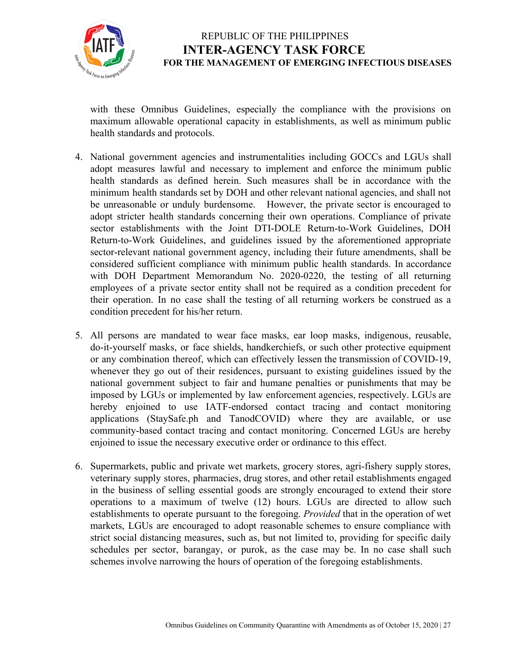

with these Omnibus Guidelines, especially the compliance with the provisions on maximum allowable operational capacity in establishments, as well as minimum public health standards and protocols.

- 4. National government agencies and instrumentalities including GOCCs and LGUs shall adopt measures lawful and necessary to implement and enforce the minimum public health standards as defined herein. Such measures shall be in accordance with the minimum health standards set by DOH and other relevant national agencies, and shall not be unreasonable or unduly burdensome. However, the private sector is encouraged to adopt stricter health standards concerning their own operations. Compliance of private sector establishments with the Joint DTI-DOLE Return-to-Work Guidelines, DOH Return-to-Work Guidelines, and guidelines issued by the aforementioned appropriate sector-relevant national government agency, including their future amendments, shall be considered sufficient compliance with minimum public health standards. In accordance with DOH Department Memorandum No. 2020-0220, the testing of all returning employees of a private sector entity shall not be required as a condition precedent for their operation. In no case shall the testing of all returning workers be construed as a condition precedent for his/her return.
- 5. All persons are mandated to wear face masks, ear loop masks, indigenous, reusable, do-it-yourself masks, or face shields, handkerchiefs, or such other protective equipment or any combination thereof, which can effectively lessen the transmission of COVID-19, whenever they go out of their residences, pursuant to existing guidelines issued by the national government subject to fair and humane penalties or punishments that may be imposed by LGUs or implemented by law enforcement agencies, respectively. LGUs are hereby enjoined to use IATF-endorsed contact tracing and contact monitoring applications (StaySafe.ph and TanodCOVID) where they are available, or use community-based contact tracing and contact monitoring. Concerned LGUs are hereby enjoined to issue the necessary executive order or ordinance to this effect.
- 6. Supermarkets, public and private wet markets, grocery stores, agri-fishery supply stores, veterinary supply stores, pharmacies, drug stores, and other retail establishments engaged in the business of selling essential goods are strongly encouraged to extend their store operations to a maximum of twelve (12) hours. LGUs are directed to allow such establishments to operate pursuant to the foregoing. *Provided* that in the operation of wet markets, LGUs are encouraged to adopt reasonable schemes to ensure compliance with strict social distancing measures, such as, but not limited to, providing for specific daily schedules per sector, barangay, or purok, as the case may be. In no case shall such schemes involve narrowing the hours of operation of the foregoing establishments.